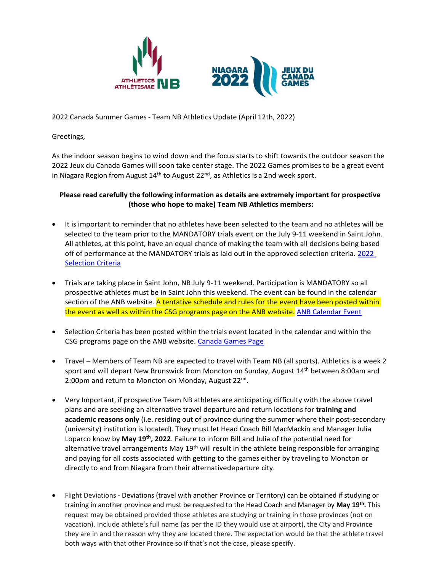



2022 Canada Summer Games - Team NB Athletics Update (April 12th, 2022)

Greetings,

As the indoor season begins to wind down and the focus starts to shift towards the outdoor season the 2022 Jeux du Canada Games will soon take center stage. The 2022 Games promises to be a great event in Niagara Region from August 14<sup>th</sup> to August 22<sup>nd</sup>, as Athletics is a 2nd week sport.

## **Please read carefully the following information as details are extremely important for prospective (those who hope to make) Team NB Athletics members:**

- It is important to reminder that no athletes have been selected to the team and no athletes will be selected to the team prior to the MANDATORY trials event on the July 9-11 weekend in Saint John. All athletes, at this point, have an equal chance of making the team with all decisions being based off of performance at the MANDATORY trials as laid out in the approved selection criteria. [2022](https://www.anb.ca/ckfinder/userfiles/files/2022%20Jeux%20Canada%20Games%20Selection%20Criteria%20Sept%2023%202021.pdf)  [Selection Criteria](https://www.anb.ca/ckfinder/userfiles/files/2022%20Jeux%20Canada%20Games%20Selection%20Criteria%20Sept%2023%202021.pdf)
- Trials are taking place in Saint John, NB July 9-11 weekend. Participation is MANDATORY so all prospective athletes must be in Saint John this weekend. The event can be found in the calendar section of the ANB website. A tentative schedule and rules for the event have been posted within the event as well as within the CSG programs page on the ANB website. [ANB Calendar Event](https://www.anb.ca/event/2022-canada-games-selection-trials/1777/)
- Selection Criteria has been posted within the trials event located in the calendar and within the CSG programs page on the ANB website. [Canada Games Page](https://www.anb.ca/programs/canadaSummerGames/)
- Travel Members of Team NB are expected to travel with Team NB (all sports). Athletics is a week 2 sport and will depart New Brunswick from Moncton on Sunday, August 14<sup>th</sup> between 8:00am and 2:00pm and return to Moncton on Monday, August 22<sup>nd</sup>.
- Very Important, if prospective Team NB athletes are anticipating difficulty with the above travel plans and are seeking an alternative travel departure and return locations for **training and academic reasons only** (i.e. residing out of province during the summer where their post-secondary (university) institution is located). They must let Head Coach Bill MacMackin and Manager Julia Loparco know by **May 19th, 2022**. Failure to inform Bill and Julia of the potential need for alternative travel arrangements May 19<sup>th</sup> will result in the athlete being responsible for arranging and paying for all costs associated with getting to the games either by traveling to Moncton or directly to and from Niagara from their alternativedeparture city.
- Flight Deviations Deviations (travel with another Province or Territory) can be obtained if studying or training in another province and must be requested to the Head Coach and Manager by **May 19th .** This request may be obtained provided those athletes are studying or training in those provinces (not on vacation). Include athlete's full name (as per the ID they would use at airport), the City and Province they are in and the reason why they are located there. The expectation would be that the athlete travel both ways with that other Province so if that's not the case, please specify.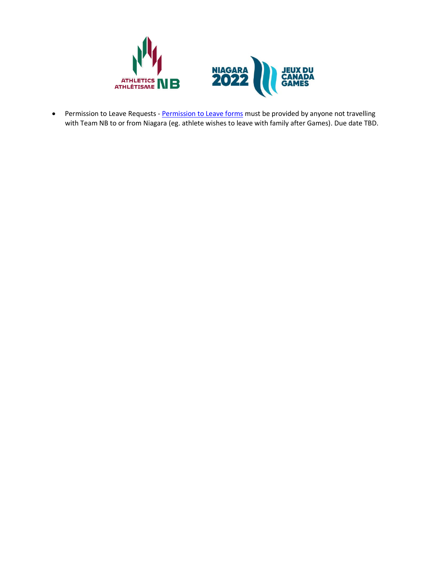



• Permission to Leave Requests - [Permission to Leave forms](https://docs.google.com/document/d/1lHSc4cg1ooMbCyYQ14IpTNh1TW32ZcBi/edit?usp=sharing&ouid=102316675220933256218&rtpof=true&sd=true) must be provided by anyone not travelling with Team NB to or from Niagara (eg. athlete wishes to leave with family after Games). Due date TBD.